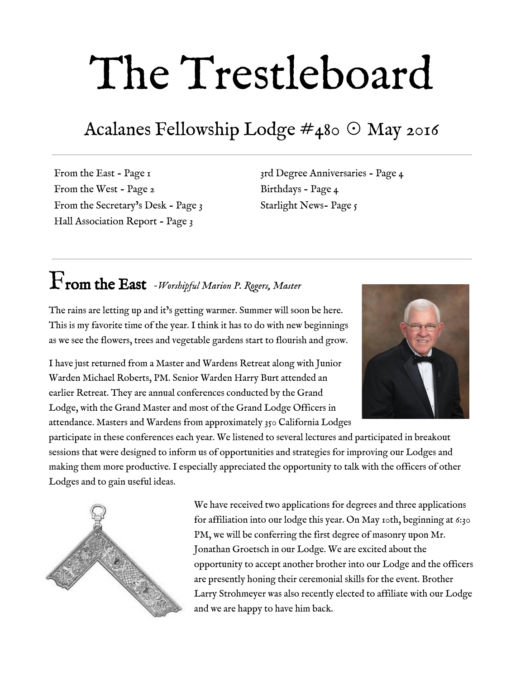# The Trestleboard

## Acalanes Fellowship Lodge #480 ☉ May 2016

From the East - Page 1 From the West - Page 2 From the Secretary's Desk - Page 3 Hall Association Report - Page 3

3rd Degree Anniversaries - Page 4 Birthdays - Page 4 Starlight News- Page 5

# From the East *Worshipful Marion P. Rogers, Master*

The rains are letting up and it's getting warmer. Summer will soon be here. This is my favorite time of the year. I think it has to do with new beginnings as we see the flowers, trees and vegetable gardens start to flourish and grow.

I have just returned from a Master and Wardens Retreat along with Junior Warden Michael Roberts, PM. Senior Warden Harry Burt attended an earlier Retreat. They are annual conferences conducted by the Grand Lodge, with the Grand Master and most of the Grand Lodge Officers in attendance. Masters and Wardens from approximately 350 California Lodges



participate in these conferences each year. We listened to several lectures and participated in breakout sessions that were designed to inform us of opportunities and strategies for improving our Lodges and making them more productive. I especially appreciated the opportunity to talk with the officers of other Lodges and to gain useful ideas.



We have received two applications for degrees and three applications for affiliation into our lodge this year. On May 10th, beginning at 6:30 PM, we will be conferring the first degree of masonry upon Mr. Jonathan Groetsch in our Lodge. We are excited about the opportunity to accept another brother into our Lodge and the officers are presently honing their ceremonial skills for the event. Brother Larry Strohmeyer was also recently elected to affiliate with our Lodge and we are happy to have him back.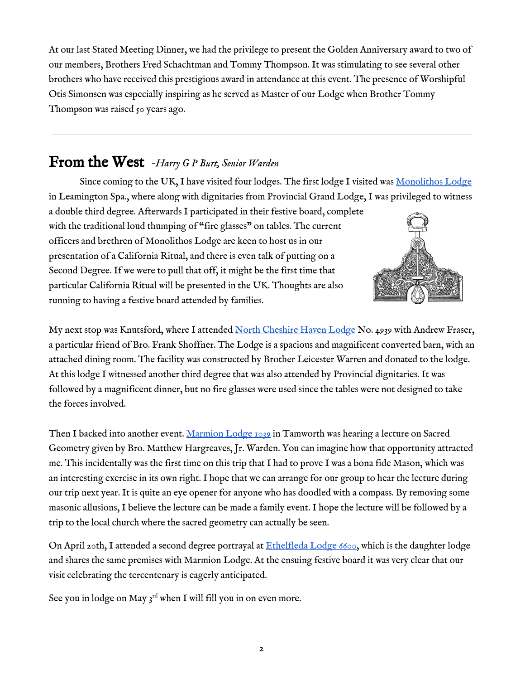At our last Stated Meeting Dinner, we had the privilege to present the Golden Anniversary award to two of our members, Brothers Fred Schachtman and Tommy Thompson. It was stimulating to see several other brothers who have received this prestigious award in attendance at this event. The presence of Worshipful Otis Simonsen was especially inspiring as he served as Master of our Lodge when Brother Tommy Thompson was raised 50 years ago.

#### From the West *Harry <sup>G</sup> <sup>P</sup> Burt, Senior Warden*

Since coming to the UK, I have visited four lodges. The first lodge I visited was [Monolithos](https://drive.google.com/folderview?id=0By4tVPgwpFPqZ2lrbURramo3REE&usp=sharing) Lodge in Leamington Spa., where along with dignitaries from Provincial Grand Lodge, I was privileged to witness

a double third degree. Afterwards I participated in their festive board, complete with the traditional loud thumping of "fire glasses" on tables. The current officers and brethren of Monolithos Lodge are keen to host us in our presentation of a California Ritual, and there is even talk of putting on a Second Degree. If we were to pull that off, it might be the first time that particular California Ritual will be presented in the UK. Thoughts are also running to having a festive board attended by families.



My next stop was Knutsford, where I attended North [Cheshire](https://drive.google.com/folderview?id=0By4tVPgwpFPqUWlLemQ4ZzR3TWM&usp=sharing) Haven Lodge No. 4939 with Andrew Fraser, a particular friend of Bro. Frank Shoffner. The Lodge is a spacious and magnificent converted barn, with an attached dining room. The facility was constructed by Brother Leicester Warren and donated to the lodge. At this lodge I witnessed another third degree that was also attended by Provincial dignitaries. It was followed by a magnificent dinner, but no fire glasses were used since the tables were not designed to take the forces involved.

Then I backed into another event. [Marmion](https://drive.google.com/folderview?id=0By4tVPgwpFPqX3psMkdrSGVHUnM&usp=sharing) Lodge 1039 in Tamworth was hearing a lecture on Sacred Geometry given by Bro. Matthew Hargreaves, Jr. Warden. You can imagine how that opportunity attracted me. This incidentally was the first time on this trip that I had to prove I was a bona fide Mason, which was an interesting exercise in its own right. I hope that we can arrange for our group to hear the lecture during our trip next year. It is quite an eye opener for anyone who has doodled with a compass. By removing some masonic allusions, I believe the lecture can be made a family event. I hope the lecture will be followed by a trip to the local church where the sacred geometry can actually be seen.

On April 20th, I attended a second degree portrayal at  $Ethelfleda$  Lodge 6600, which is the daughter lodge and shares the same premises with Marmion Lodge. At the ensuing festive board it was very clear that our visit celebrating the tercentenary is eagerly anticipated.

See you in lodge on May  $3^{rd}$  when I will fill you in on even more.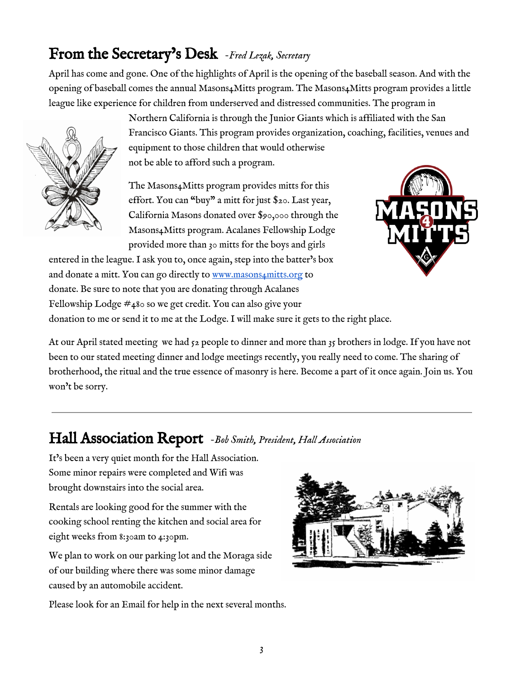## From the Secretary's Desk *Fred Lezak, Secretary*

April has come and gone. One of the highlights of April is the opening of the baseball season. And with the opening of baseball comes the annual Masons4Mitts program. The Masons4Mitts program provides a little league like experience for children from underserved and distressed communities. The program in



Northern California is through the Junior Giants which is affiliated with the San Francisco Giants. This program provides organization, coaching, facilities, venues and equipment to those children that would otherwise not be able to afford such a program.

The Masons4Mitts program provides mitts for this effort. You can "buy" a mitt for just \$20. Last year, California Masons donated over \$90,000 through the Masons4Mitts program. Acalanes Fellowship Lodge provided more than 30 mitts for the boys and girls

entered in the league. I ask you to, once again, step into the batter's box and donate a mitt. You can go directly to [www.masons4mitts.org](http://www.masons4mitts.org/) to donate. Be sure to note that you are donating through Acalanes Fellowship Lodge #480 so we get credit. You can also give your donation to me or send it to me at the Lodge. I will make sure it gets to the right place.



At our April stated meeting we had  $52$  people to dinner and more than  $35$  brothers in lodge. If you have not been to our stated meeting dinner and lodge meetings recently, you really need to come. The sharing of brotherhood, the ritual and the true essence of masonry is here. Become a part of it once again. Join us. You won't be sorry.

### Hall Association Report *Bob Smith, President, Hall Association*

It's been a very quiet month for the Hall Association. Some minor repairs were completed and Wifi was brought downstairs into the social area.

Rentals are looking good for the summer with the cooking school renting the kitchen and social area for eight weeks from 8:30am to 4:30pm.

We plan to work on our parking lot and the Moraga side of our building where there was some minor damage caused by an automobile accident.



Please look for an Email for help in the next several months.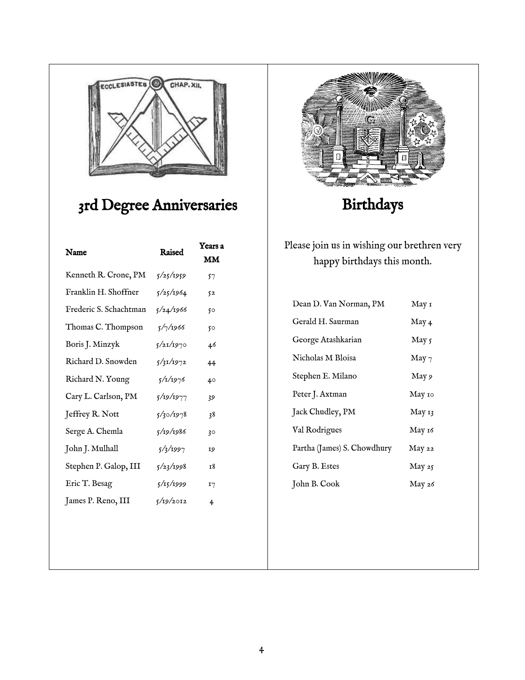

## 3rd Degree Anniversaries

| Name                   | Raised    | Years a<br>MM |
|------------------------|-----------|---------------|
| Kenneth R. Crone, PM   | 5/25/1959 | 57            |
| Franklin H. Shoffner   | 5/25/1964 | 52            |
| Frederic S. Schachtman | 5/24/1966 | 50            |
| Thomas C. Thompson     | 5/7/1966  | 50            |
| Boris J. Minzyk        | 5/21/1970 | 46            |
| Richard D. Snowden     | 5/31/1972 | 44            |
| Richard N. Young       | 5/1/1976  | 40            |
| Cary L. Carlson, PM    | 5/19/1977 | 39            |
| Jeffrey R. Nott        | 5/30/1978 | 38            |
| Serge A. Chemla        | 5/19/1986 | 30            |
| John J. Mulhall        | 5/3/1997  | 19            |
| Stephen P. Galop, III  | 5/23/1998 | т8            |
| Eric T. Besag          | 5/15/1999 | I7            |
| James P. Reno, III     | 5/19/2012 | 4             |
|                        |           |               |



Birthdays

Please join us in wishing our brethren very happy birthdays this month.

| Dean D. Van Norman, PM      | May 1            |
|-----------------------------|------------------|
| Gerald H. Saurman           | May 4            |
| George Atashkarian          | May 5            |
| Nicholas M Bloisa           | May <sub>7</sub> |
| Stephen E. Milano           | May 9            |
| Peter J. Axtman             | Мау 10           |
| Jack Chudley, PM            | May 13           |
| Val Rodrigues               | Мау 16           |
| Partha (James) S. Chowdhury | May 22           |
| Gary B. Estes               | May 25           |
| John B. Cook                | May 26           |
|                             |                  |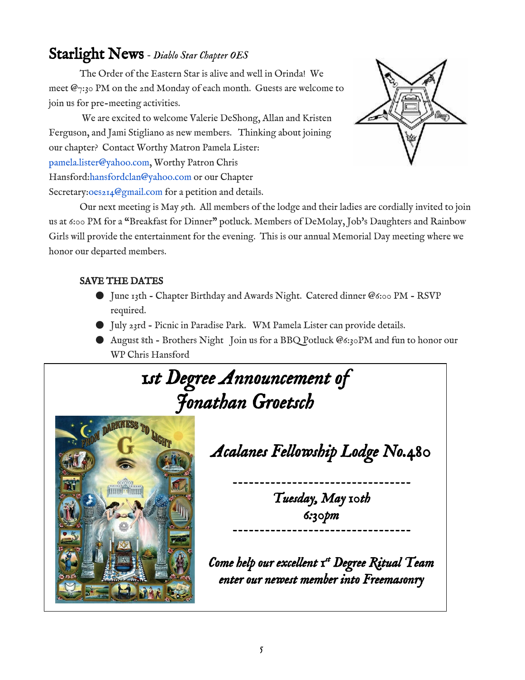#### Starlight News *Diablo Star Chapter OES*

The Order of the Eastern Star is alive and well in Orinda! We meet  $\mathcal{Q}_{7:30}$  PM on the 2nd Monday of each month. Guests are welcome to join us for pre-meeting activities.

We are excited to welcome Valerie DeShong, Allan and Kristen Ferguson, and Jami Stigliano as new members. Thinking about joining our chapter? Contact Worthy Matron Pamela Lister: pamela.lister@yahoo.com, Worthy Patron Chris Hansford:hansfordclan@yahoo.com or our Chapter Secretary:0es214@gmail.com for a petition and details.



Our next meeting is May 9th. All members of the lodge and their ladies are cordially invited to join us at 6:00 PM for a "Breakfast for Dinner" potluck. Members of DeMolay, Job's Daughters and Rainbow Girls will provide the entertainment for the evening. This is our annual Memorial Day meeting where we honor our departed members.

#### SAVE THE DATES

- June 13th Chapter Birthday and Awards Night. Catered dinner @6:00 PM RSVP required.
- July 23rd Picnic in Paradise Park. WM Pamela Lister can provide details.
- August 8th Brothers Night Join us for a BBQ Potluck @6:30PM and fun to honor our WP Chris Hansford

*1st Degree Announcement of Jonathan Groetsch* 



*Acalanes Fellowship Lodge No.480* 

 *Tuesday, May 10th 6:30pm* 

*Come help our excellent 1st Degree Ritual Team enter our newest member into Freemasonry*